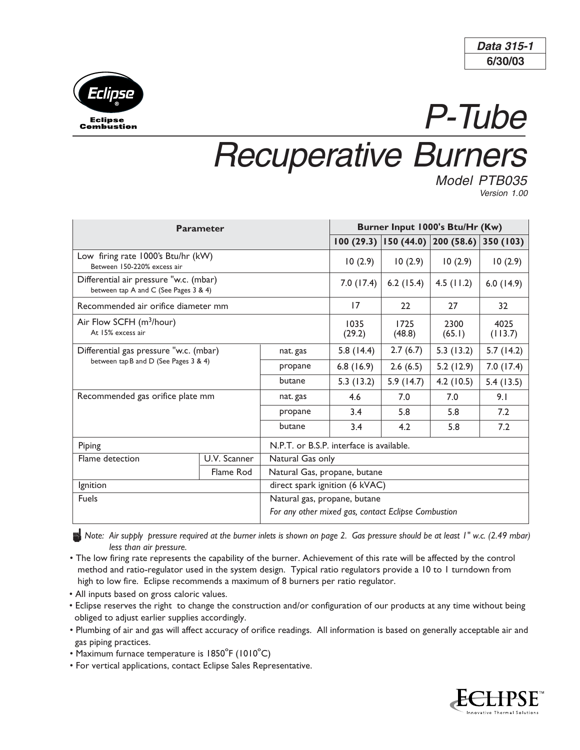



## P-Tube Recuperative Burners

Model PTB035 Version 1.00

| <b>Parameter</b>                                                                |              |                                                     | Burner Input 1000's Btu/Hr (Kw) |                |                                            |                 |
|---------------------------------------------------------------------------------|--------------|-----------------------------------------------------|---------------------------------|----------------|--------------------------------------------|-----------------|
|                                                                                 |              |                                                     |                                 |                | $ 100(29.3) 150(44.0) 200(58.6) 350(103) $ |                 |
| Low firing rate 1000's Btu/hr (kW)<br>Between 150-220% excess air               |              |                                                     | 10(2.9)                         | 10(2.9)        | 10(2.9)                                    | 10(2.9)         |
| Differential air pressure "w.c. (mbar)<br>between tap A and C (See Pages 3 & 4) |              |                                                     | 7.0(17.4)                       | $6.2$ (15.4)   | $4.5$ (11.2)                               | 6.0(14.9)       |
| Recommended air orifice diameter mm                                             |              |                                                     | 17                              | 22             | 27                                         | 32              |
| Air Flow SCFH (m <sup>3</sup> /hour)<br>At 15% excess air                       |              |                                                     | 1035<br>(29.2)                  | 1725<br>(48.8) | 2300<br>(65.1)                             | 4025<br>(113.7) |
| Differential gas pressure "w.c. (mbar)<br>between tap B and D (See Pages 3 & 4) |              | nat. gas                                            | 5.8(14.4)                       | 2.7(6.7)       | 5.3(13.2)                                  | 5.7(14.2)       |
|                                                                                 |              | propane                                             | 6.8(16.9)                       | 2.6(6.5)       | 5.2(12.9)                                  | 7.0(17.4)       |
|                                                                                 |              | butane                                              | 5.3(13.2)                       | 5.9(14.7)      | 4.2(10.5)                                  | 5.4(13.5)       |
| Recommended gas orifice plate mm                                                |              | nat. gas                                            | 4.6                             | 7.0            | 7.0                                        | 9.1             |
|                                                                                 |              | propane                                             | 3.4                             | 5.8            | 5.8                                        | 7.2             |
|                                                                                 |              | butane                                              | 3.4                             | 4.2            | 5.8                                        | 7.2             |
| Piping                                                                          |              | N.P.T. or B.S.P. interface is available.            |                                 |                |                                            |                 |
| Flame detection                                                                 | U.V. Scanner | Natural Gas only                                    |                                 |                |                                            |                 |
|                                                                                 | Flame Rod    | Natural Gas, propane, butane                        |                                 |                |                                            |                 |
| Ignition                                                                        |              | direct spark ignition (6 kVAC)                      |                                 |                |                                            |                 |
| <b>Fuels</b>                                                                    |              | Natural gas, propane, butane                        |                                 |                |                                            |                 |
|                                                                                 |              | For any other mixed gas, contact Eclipse Combustion |                                 |                |                                            |                 |

n*Note: Air supply pressure required at the burner inlets is shown on page 2. Gas pressure should be at least 1" w.c. (2.49 mbar) less than air pressure.*

- The low firing rate represents the capability of the burner. Achievement of this rate will be affected by the control method and ratio-regulator used in the system design. Typical ratio regulators provide a 10 to 1 turndown from high to low fire. Eclipse recommends a maximum of 8 burners per ratio regulator.
- All inputs based on gross caloric values.
- Eclipse reserves the right to change the construction and/or configuration of our products at any time without being obliged to adjust earlier supplies accordingly.
- Plumbing of air and gas will affect accuracy of orifice readings. All information is based on generally acceptable air and gas piping practices.
- Maximum furnace temperature is 1850ºF (1010ºC)
- For vertical applications, contact Eclipse Sales Representative.

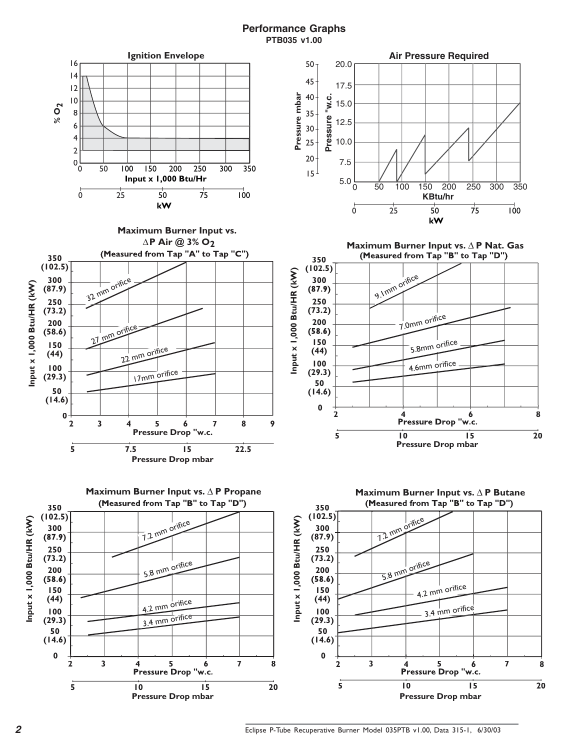## **Performance Graphs PTB035 v1.00**

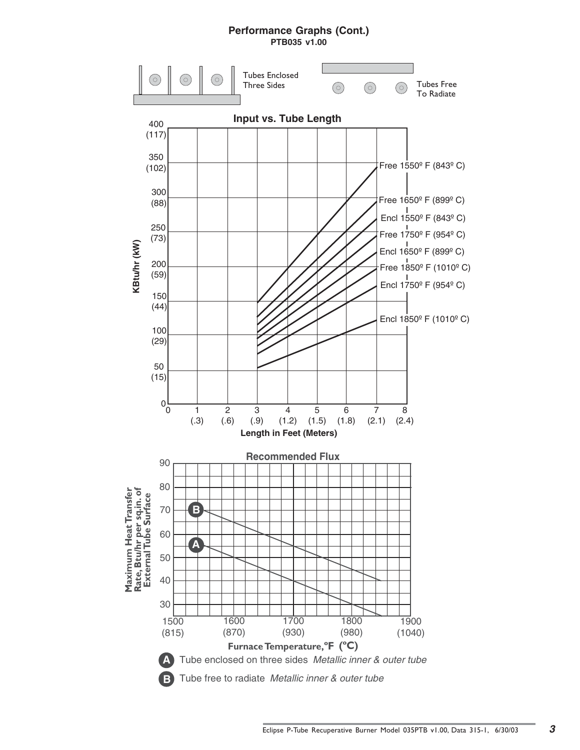## **Performance Graphs (Cont.)**

**PTB035 v1.00**